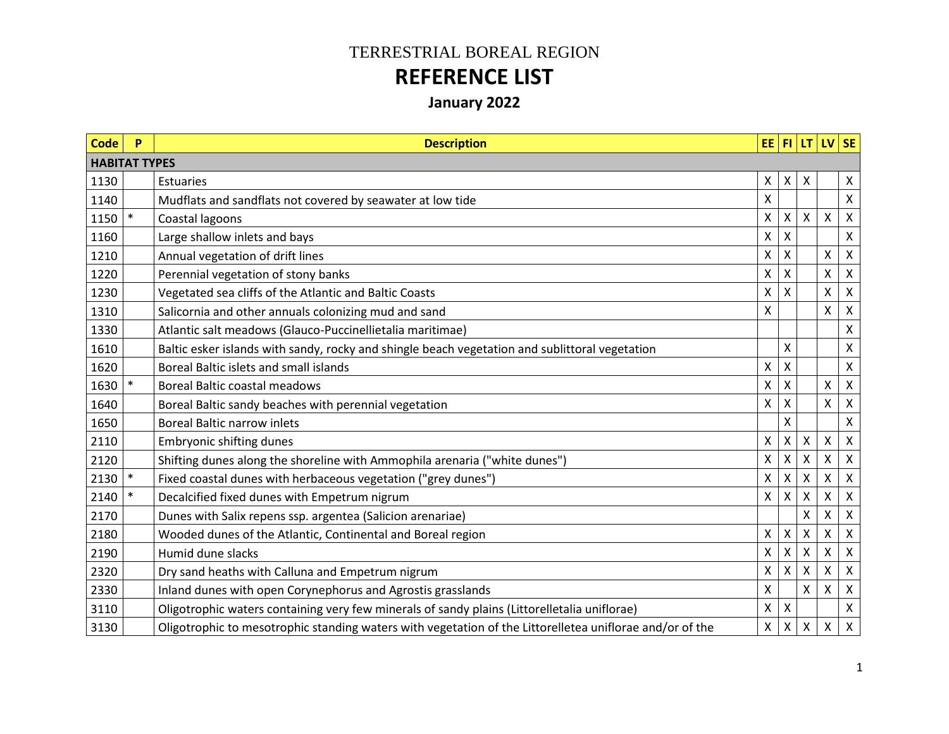## TERRESTRIAL BOREAL REGION **REFERENCE LIST**

## **January 2022**

| <b>Code</b>          | P      | <b>Description</b>                                                                                       |                 |   |                           | EE FI LT UV SE |                |
|----------------------|--------|----------------------------------------------------------------------------------------------------------|-----------------|---|---------------------------|----------------|----------------|
| <b>HABITAT TYPES</b> |        |                                                                                                          |                 |   |                           |                |                |
| 1130                 |        | Estuaries                                                                                                | X               | X | $\boldsymbol{\mathsf{X}}$ |                | X              |
| 1140                 |        | Mudflats and sandflats not covered by seawater at low tide                                               | X               |   |                           |                | $\mathsf{X}^-$ |
| 1150                 | $\ast$ | Coastal lagoons                                                                                          | X               | Χ | $\boldsymbol{\mathsf{X}}$ | X              | $\mathsf{X}$   |
| 1160                 |        | Large shallow inlets and bays                                                                            | Χ               | X |                           |                | X              |
| 1210                 |        | Annual vegetation of drift lines                                                                         | Χ               | x |                           | X              | X              |
| 1220                 |        | Perennial vegetation of stony banks                                                                      | X               | X |                           | X              | $\mathsf{X}$   |
| 1230                 |        | Vegetated sea cliffs of the Atlantic and Baltic Coasts                                                   | X               | X |                           | X              | $\mathsf{X}$   |
| 1310                 |        | Salicornia and other annuals colonizing mud and sand                                                     | X               |   |                           | X              | $\mathsf{X}$   |
| 1330                 |        | Atlantic salt meadows (Glauco-Puccinellietalia maritimae)                                                |                 |   |                           |                | X              |
| 1610                 |        | Baltic esker islands with sandy, rocky and shingle beach vegetation and sublittoral vegetation           |                 | X |                           |                | X              |
| 1620                 |        | Boreal Baltic islets and small islands                                                                   | X               | Χ |                           |                | $\mathsf{X}$   |
| 1630                 | $\ast$ | <b>Boreal Baltic coastal meadows</b>                                                                     | Χ               | X |                           | X              | X              |
| 1640                 |        | Boreal Baltic sandy beaches with perennial vegetation                                                    | Χ               | X |                           | X              | X              |
| 1650                 |        | <b>Boreal Baltic narrow inlets</b>                                                                       |                 | X |                           |                | X              |
| 2110                 |        | Embryonic shifting dunes                                                                                 | X               | X | $\mathsf{X}$              | $\mathsf{X}$   | $\mathsf{X}$   |
| 2120                 |        | Shifting dunes along the shoreline with Ammophila arenaria ("white dunes")                               | Χ               | X | $\boldsymbol{\mathsf{X}}$ | $\times$       | $\mathsf X$    |
| 2130                 | $\ast$ | Fixed coastal dunes with herbaceous vegetation ("grey dunes")                                            | Χ               | X | X                         | X              | X              |
| 2140                 | $\ast$ | Decalcified fixed dunes with Empetrum nigrum                                                             | X               | Χ | X                         | X              | X              |
| 2170                 |        | Dunes with Salix repens ssp. argentea (Salicion arenariae)                                               |                 |   | Χ                         | X              | $\mathsf{X}$   |
| 2180                 |        | Wooded dunes of the Atlantic, Continental and Boreal region                                              | Χ               | X | $\mathsf{X}$              | X              | $\mathsf{X}$   |
| 2190                 |        | Humid dune slacks                                                                                        | Χ               | Χ | $\boldsymbol{\mathsf{X}}$ | X              | $\mathsf{X}$   |
| 2320                 |        | Dry sand heaths with Calluna and Empetrum nigrum                                                         | Χ               | x | x                         | X              | X              |
| 2330                 |        | Inland dunes with open Corynephorus and Agrostis grasslands                                              | $\mathsf{\chi}$ |   | $\boldsymbol{\mathsf{X}}$ | $\mathsf{X}$   | $\mathsf{x}$   |
| 3110                 |        | Oligotrophic waters containing very few minerals of sandy plains (Littorelletalia uniflorae)             | Χ               | X |                           |                | $\mathsf{X}$   |
| 3130                 |        | Oligotrophic to mesotrophic standing waters with vegetation of the Littorelletea uniflorae and/or of the | $\mathsf{X}$    | Χ | $\boldsymbol{\mathsf{X}}$ | $\mathsf{X}$   | $\mathsf{X}$   |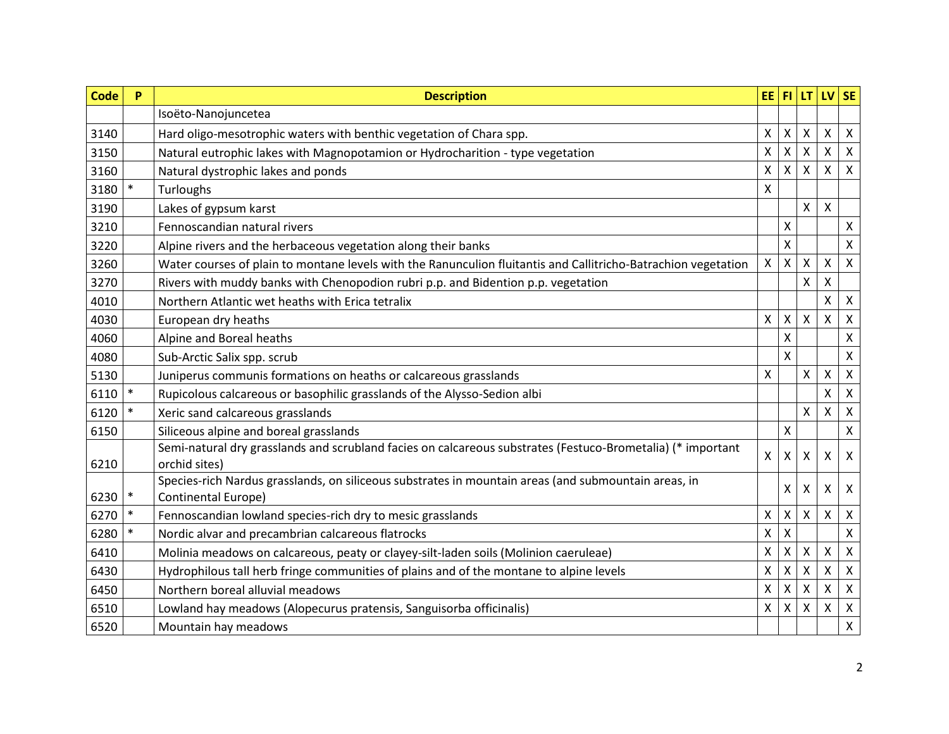| <b>Code</b> | P      | <b>Description</b>                                                                                                           | EE F1                     |              | LT                 | IV SE              |                           |
|-------------|--------|------------------------------------------------------------------------------------------------------------------------------|---------------------------|--------------|--------------------|--------------------|---------------------------|
|             |        | Isoëto-Nanojuncetea                                                                                                          |                           |              |                    |                    |                           |
| 3140        |        | Hard oligo-mesotrophic waters with benthic vegetation of Chara spp.                                                          | X                         | X            | X                  | $\pmb{\times}$     | $\boldsymbol{\mathsf{X}}$ |
| 3150        |        | Natural eutrophic lakes with Magnopotamion or Hydrocharition - type vegetation                                               | Χ                         | Χ            | X                  | X                  | $\boldsymbol{\mathsf{X}}$ |
| 3160        |        | Natural dystrophic lakes and ponds                                                                                           | $\pmb{\mathsf{X}}$        | X            | $\mathsf{X}$       | $\pmb{\mathsf{X}}$ | $\boldsymbol{\mathsf{X}}$ |
| 3180        |        | <b>Turloughs</b>                                                                                                             | $\boldsymbol{\mathsf{X}}$ |              |                    |                    |                           |
| 3190        |        | Lakes of gypsum karst                                                                                                        |                           |              | X                  | X                  |                           |
| 3210        |        | Fennoscandian natural rivers                                                                                                 |                           | Χ            |                    |                    | X                         |
| 3220        |        | Alpine rivers and the herbaceous vegetation along their banks                                                                |                           | Χ            |                    |                    | $\boldsymbol{\mathsf{X}}$ |
| 3260        |        | Water courses of plain to montane levels with the Ranunculion fluitantis and Callitricho-Batrachion vegetation               | $\pmb{\mathsf{X}}$        | Χ            | X                  | X                  | $\boldsymbol{\mathsf{X}}$ |
| 3270        |        | Rivers with muddy banks with Chenopodion rubri p.p. and Bidention p.p. vegetation                                            |                           |              | X                  | X                  |                           |
| 4010        |        | Northern Atlantic wet heaths with Erica tetralix                                                                             |                           |              |                    | X                  | X                         |
| 4030        |        | European dry heaths                                                                                                          | X                         | Χ            | $\mathsf{x}$       | $\pmb{\times}$     | $\boldsymbol{\mathsf{X}}$ |
| 4060        |        | Alpine and Boreal heaths                                                                                                     |                           | Χ            |                    |                    | X                         |
| 4080        |        | Sub-Arctic Salix spp. scrub                                                                                                  |                           | X            |                    |                    | X                         |
| 5130        |        | Juniperus communis formations on heaths or calcareous grasslands                                                             | X                         |              | $\mathsf{x}$       | $\mathsf{X}$       | $\boldsymbol{\mathsf{X}}$ |
| 6110        | $\ast$ | Rupicolous calcareous or basophilic grasslands of the Alysso-Sedion albi                                                     |                           |              |                    | $\mathsf{X}$       | $\boldsymbol{\mathsf{X}}$ |
| 6120        | $\ast$ | Xeric sand calcareous grasslands                                                                                             |                           |              | $\mathsf{x}$       | X                  | $\boldsymbol{\mathsf{X}}$ |
| 6150        |        | Siliceous alpine and boreal grasslands                                                                                       |                           | Χ            |                    |                    | $\pmb{\mathsf{X}}$        |
| 6210        |        | Semi-natural dry grasslands and scrubland facies on calcareous substrates (Festuco-Brometalia) (* important<br>orchid sites) | $\mathsf{X}$              | $\mathsf{X}$ | X                  | X                  | $\boldsymbol{\mathsf{X}}$ |
| 6230        | $\ast$ | Species-rich Nardus grasslands, on siliceous substrates in mountain areas (and submountain areas, in<br>Continental Europe)  |                           | Χ            | X                  | X                  | $\boldsymbol{\mathsf{X}}$ |
| 6270        | $\ast$ | Fennoscandian lowland species-rich dry to mesic grasslands                                                                   | Χ                         | Χ            | X                  | $\pmb{\mathsf{X}}$ | $\boldsymbol{\mathsf{X}}$ |
| 6280        | $\ast$ | Nordic alvar and precambrian calcareous flatrocks                                                                            | Χ                         | Χ            |                    |                    | $\pmb{\mathsf{X}}$        |
| 6410        |        | Molinia meadows on calcareous, peaty or clayey-silt-laden soils (Molinion caeruleae)                                         | X                         | X            | X                  | X                  | $\boldsymbol{\mathsf{X}}$ |
| 6430        |        | Hydrophilous tall herb fringe communities of plains and of the montane to alpine levels                                      | $\pmb{\mathsf{X}}$        | Χ            | $\pmb{\mathsf{X}}$ | $\pmb{\mathsf{X}}$ | $\pmb{\times}$            |
| 6450        |        | Northern boreal alluvial meadows                                                                                             | X                         | X            | X                  | X                  | $\boldsymbol{\mathsf{X}}$ |
| 6510        |        | Lowland hay meadows (Alopecurus pratensis, Sanguisorba officinalis)                                                          | X                         | Χ            | X                  | X                  | $\boldsymbol{\mathsf{X}}$ |
| 6520        |        | Mountain hay meadows                                                                                                         |                           |              |                    |                    | $\pmb{\mathsf{X}}$        |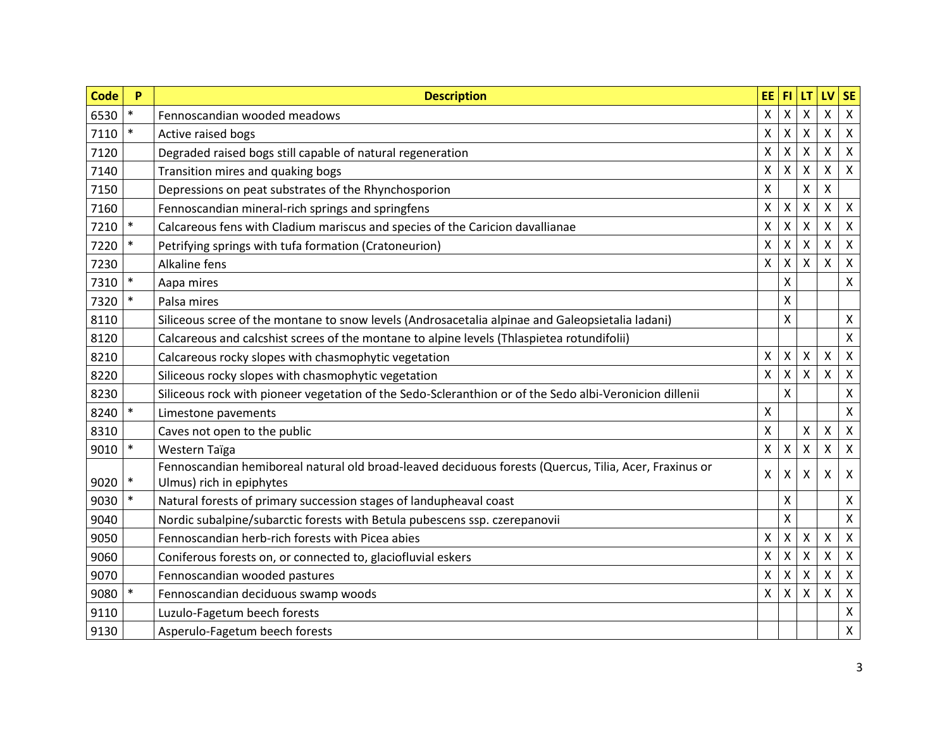| <b>Code</b> | P      | <b>Description</b>                                                                                                                 | EE FI              |   | LT.                       | LV                        | <b>SE</b>                 |
|-------------|--------|------------------------------------------------------------------------------------------------------------------------------------|--------------------|---|---------------------------|---------------------------|---------------------------|
| 6530        | $\ast$ | Fennoscandian wooded meadows                                                                                                       | $\mathsf{X}$       | Χ | X                         | $\pmb{\mathsf{X}}$        | $\boldsymbol{\mathsf{X}}$ |
| 7110        | $\ast$ | Active raised bogs                                                                                                                 | $\pmb{\mathsf{X}}$ | Χ | X                         | X                         | $\boldsymbol{\mathsf{X}}$ |
| 7120        |        | Degraded raised bogs still capable of natural regeneration                                                                         | $\mathsf{X}$       | Χ | $\mathsf{x}$              | $\pmb{\times}$            | $\boldsymbol{\mathsf{X}}$ |
| 7140        |        | Transition mires and quaking bogs                                                                                                  | Χ                  | X | X                         | Χ                         | $\boldsymbol{\mathsf{X}}$ |
| 7150        |        | Depressions on peat substrates of the Rhynchosporion                                                                               | $\pmb{\mathsf{X}}$ |   | $\pmb{\mathsf{X}}$        | $\pmb{\mathsf{X}}$        |                           |
| 7160        |        | Fennoscandian mineral-rich springs and springfens                                                                                  | $\pmb{\mathsf{X}}$ | Χ | $\boldsymbol{\mathsf{X}}$ | X                         | $\boldsymbol{\mathsf{X}}$ |
| 7210        | $\ast$ | Calcareous fens with Cladium mariscus and species of the Caricion davallianae                                                      | X                  | Χ | X                         | X                         | $\boldsymbol{\mathsf{X}}$ |
| 7220        | $\ast$ | Petrifying springs with tufa formation (Cratoneurion)                                                                              | X                  | Χ | X                         | X                         | $\boldsymbol{\mathsf{X}}$ |
| 7230        |        | Alkaline fens                                                                                                                      | $\pmb{\mathsf{X}}$ | Χ | X                         | X                         | $\boldsymbol{\mathsf{X}}$ |
| 7310        | $\ast$ | Aapa mires                                                                                                                         |                    | Χ |                           |                           | $\pmb{\mathsf{X}}$        |
| 7320        | $\ast$ | Palsa mires                                                                                                                        |                    | Χ |                           |                           |                           |
| 8110        |        | Siliceous scree of the montane to snow levels (Androsacetalia alpinae and Galeopsietalia ladani)                                   |                    | Χ |                           |                           | X                         |
| 8120        |        | Calcareous and calcshist screes of the montane to alpine levels (Thlaspietea rotundifolii)                                         |                    |   |                           |                           | $\pmb{\mathsf{X}}$        |
| 8210        |        | Calcareous rocky slopes with chasmophytic vegetation                                                                               | Χ                  | X | X                         | X                         | $\boldsymbol{\mathsf{X}}$ |
| 8220        |        | Siliceous rocky slopes with chasmophytic vegetation                                                                                | $\mathsf{X}$       | X | $\mathsf{x}$              | $\mathsf{X}$              | $\boldsymbol{\mathsf{X}}$ |
| 8230        |        | Siliceous rock with pioneer vegetation of the Sedo-Scleranthion or of the Sedo albi-Veronicion dillenii                            |                    | Χ |                           |                           | Χ                         |
| 8240        | $\ast$ | Limestone pavements                                                                                                                | Χ                  |   |                           |                           | $\pmb{\mathsf{X}}$        |
| 8310        |        | Caves not open to the public                                                                                                       | $\mathsf{X}$       |   | X                         | X                         | $\pmb{\mathsf{X}}$        |
| 9010        | $\ast$ | Western Taïga                                                                                                                      | $\pmb{\mathsf{X}}$ | X | Χ                         | $\pmb{\mathsf{X}}$        | $\boldsymbol{\mathsf{X}}$ |
| 9020        | $\ast$ | Fennoscandian hemiboreal natural old broad-leaved deciduous forests (Quercus, Tilia, Acer, Fraxinus or<br>Ulmus) rich in epiphytes | X                  | X | X                         | X                         | $\boldsymbol{\mathsf{X}}$ |
| 9030        | $\ast$ | Natural forests of primary succession stages of landupheaval coast                                                                 |                    | X |                           |                           | X                         |
| 9040        |        | Nordic subalpine/subarctic forests with Betula pubescens ssp. czerepanovii                                                         |                    | Χ |                           |                           | Χ                         |
| 9050        |        | Fennoscandian herb-rich forests with Picea abies                                                                                   | Χ                  | X | Χ                         | $\boldsymbol{\mathsf{X}}$ | $\boldsymbol{\mathsf{X}}$ |
| 9060        |        | Coniferous forests on, or connected to, glaciofluvial eskers                                                                       | X                  | Χ | X                         | Χ                         | $\boldsymbol{\mathsf{X}}$ |
| 9070        |        | Fennoscandian wooded pastures                                                                                                      | X                  | X | X                         | X                         | $\boldsymbol{\mathsf{X}}$ |
| 9080        | $\ast$ | Fennoscandian deciduous swamp woods                                                                                                | X                  | Χ | X                         | X                         | $\boldsymbol{\mathsf{X}}$ |
| 9110        |        | Luzulo-Fagetum beech forests                                                                                                       |                    |   |                           |                           | $\pmb{\mathsf{X}}$        |
| 9130        |        | Asperulo-Fagetum beech forests                                                                                                     |                    |   |                           |                           | $\pmb{\mathsf{X}}$        |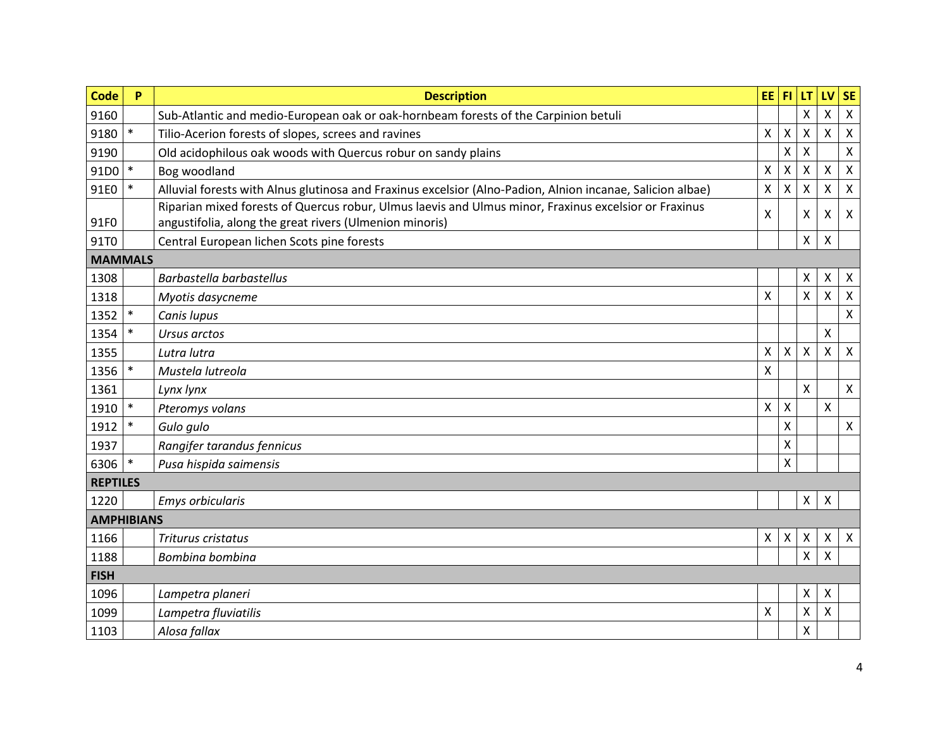| <b>Code</b>       | P      | <b>Description</b>                                                                                         | EE <sup>1</sup>           | F1                        | LT                        | LV                        | <b>SE</b>                 |
|-------------------|--------|------------------------------------------------------------------------------------------------------------|---------------------------|---------------------------|---------------------------|---------------------------|---------------------------|
| 9160              |        | Sub-Atlantic and medio-European oak or oak-hornbeam forests of the Carpinion betuli                        |                           |                           | $\sf X$                   | X                         | $\pmb{\times}$            |
| 9180              | $\ast$ | Tilio-Acerion forests of slopes, screes and ravines                                                        | $\boldsymbol{\mathsf{X}}$ | $\mathsf{X}$              | $\boldsymbol{\mathsf{X}}$ | Χ                         | X                         |
| 9190              |        | Old acidophilous oak woods with Quercus robur on sandy plains                                              |                           | X                         | $\boldsymbol{\mathsf{X}}$ |                           | $\mathsf{x}$              |
| 91D0              | $\ast$ | Bog woodland                                                                                               | $\pmb{\chi}$              | X                         | X                         | Χ                         | $\pmb{\mathsf{X}}$        |
| 91E0              | $\ast$ | Alluvial forests with Alnus glutinosa and Fraxinus excelsior (Alno-Padion, Alnion incanae, Salicion albae) | $\pmb{\chi}$              | $\pmb{\mathsf{X}}$        | $\boldsymbol{\mathsf{X}}$ | Χ                         | $\pmb{\times}$            |
|                   |        | Riparian mixed forests of Quercus robur, Ulmus laevis and Ulmus minor, Fraxinus excelsior or Fraxinus      | X                         |                           | X                         |                           |                           |
| 91F0              |        | angustifolia, along the great rivers (Ulmenion minoris)                                                    |                           |                           |                           | X                         | X                         |
| 91T0              |        | Central European lichen Scots pine forests                                                                 |                           |                           | X                         | X                         |                           |
| <b>MAMMALS</b>    |        |                                                                                                            |                           |                           |                           |                           |                           |
| 1308              |        | Barbastella barbastellus                                                                                   |                           |                           | X                         | X                         | X                         |
| 1318              |        | Myotis dasycneme                                                                                           | $\boldsymbol{\mathsf{X}}$ |                           | $\mathsf{X}$              | X                         | X                         |
| 1352              | $\ast$ | Canis lupus                                                                                                |                           |                           |                           |                           | $\pmb{\mathsf{X}}$        |
| 1354              | $\ast$ | Ursus arctos                                                                                               |                           |                           |                           | X                         |                           |
| 1355              |        | Lutra lutra                                                                                                | $\mathsf{X}$              | Χ                         | $\boldsymbol{\mathsf{X}}$ | Χ                         | $\mathsf{X}$              |
| 1356              | $\ast$ | Mustela lutreola                                                                                           | $\mathsf{X}$              |                           |                           |                           |                           |
| 1361              |        | Lynx lynx                                                                                                  |                           |                           | $\sf X$                   |                           | X                         |
| 1910              | $\ast$ | Pteromys volans                                                                                            | $\boldsymbol{\mathsf{X}}$ | Χ                         |                           | X                         |                           |
| 1912              | $\ast$ | Gulo gulo                                                                                                  |                           | $\pmb{\mathsf{X}}$        |                           |                           | $\pmb{\times}$            |
| 1937              |        | Rangifer tarandus fennicus                                                                                 |                           | $\boldsymbol{\mathsf{X}}$ |                           |                           |                           |
| 6306              | $\ast$ | Pusa hispida saimensis                                                                                     |                           | X                         |                           |                           |                           |
| <b>REPTILES</b>   |        |                                                                                                            |                           |                           |                           |                           |                           |
| 1220              |        | Emys orbicularis                                                                                           |                           |                           | X                         | $\boldsymbol{\mathsf{X}}$ |                           |
| <b>AMPHIBIANS</b> |        |                                                                                                            |                           |                           |                           |                           |                           |
| 1166              |        | Triturus cristatus                                                                                         | $\boldsymbol{\mathsf{X}}$ | X                         | $\boldsymbol{\mathsf{X}}$ | X                         | $\boldsymbol{\mathsf{X}}$ |
| 1188              |        | Bombina bombina                                                                                            |                           |                           | $\sf X$                   | X                         |                           |
| <b>FISH</b>       |        |                                                                                                            |                           |                           |                           |                           |                           |
| 1096              |        | Lampetra planeri                                                                                           |                           |                           | Χ                         | X                         |                           |
| 1099              |        | Lampetra fluviatilis                                                                                       | X                         |                           | $\boldsymbol{\mathsf{X}}$ | Χ                         |                           |
| 1103              |        | Alosa fallax                                                                                               |                           |                           | $\mathsf{X}$              |                           |                           |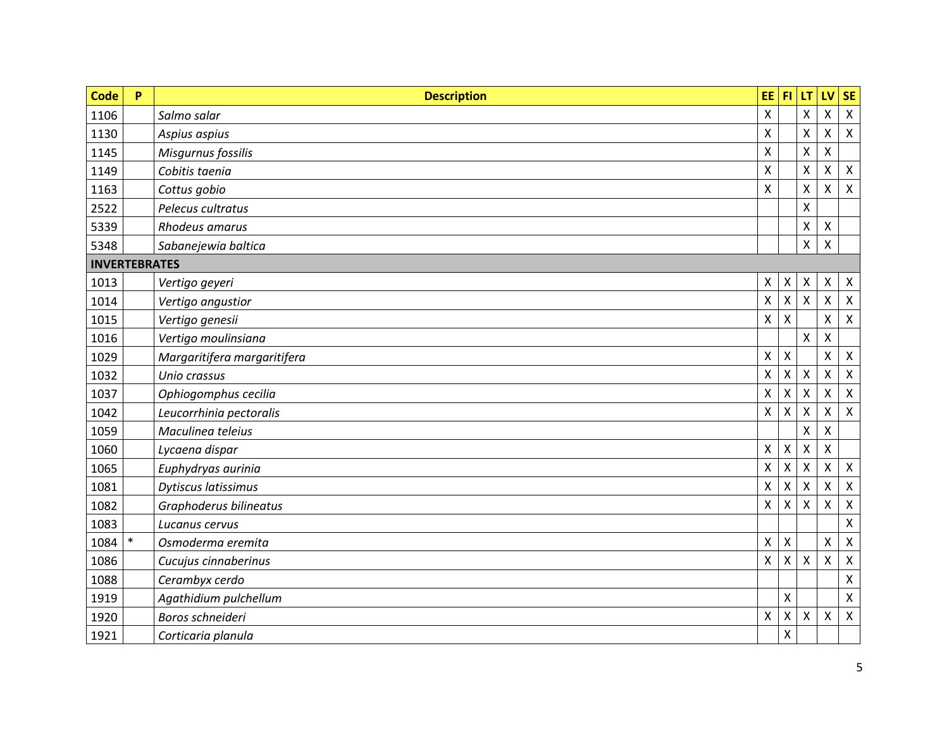| <b>Code</b>          | P      | <b>Description</b>          | EE.                       | F1                 | LT                        | LV                        | <b>SE</b>          |
|----------------------|--------|-----------------------------|---------------------------|--------------------|---------------------------|---------------------------|--------------------|
| 1106                 |        | Salmo salar                 | $\boldsymbol{\mathsf{X}}$ |                    | $\pmb{\chi}$              | Χ                         | $\pmb{\times}$     |
| 1130                 |        | Aspius aspius               | X                         |                    | X                         | X                         | $\mathsf{X}$       |
| 1145                 |        | Misgurnus fossilis          | X                         |                    | $\pmb{\chi}$              | X                         |                    |
| 1149                 |        | Cobitis taenia              | $\pmb{\mathsf{X}}$        |                    | $\pmb{\chi}$              | Χ                         | $\mathsf{X}$       |
| 1163                 |        | Cottus gobio                | X                         |                    | $\boldsymbol{\mathsf{X}}$ | X                         | X                  |
| 2522                 |        | Pelecus cultratus           |                           |                    | $\mathsf{X}$              |                           |                    |
| 5339                 |        | Rhodeus amarus              |                           |                    | $\pmb{\mathsf{X}}$        | $\pmb{\mathsf{X}}$        |                    |
| 5348                 |        | Sabanejewia baltica         |                           |                    | $\boldsymbol{\mathsf{X}}$ | X                         |                    |
| <b>INVERTEBRATES</b> |        |                             |                           |                    |                           |                           |                    |
| 1013                 |        | Vertigo geyeri              | X                         | Χ                  | X                         | X                         | $\mathsf{X}$       |
| 1014                 |        | Vertigo angustior           | $\boldsymbol{\mathsf{X}}$ | $\mathsf X$        | $\mathsf{X}$              | $\boldsymbol{\mathsf{X}}$ | $\mathsf{X}$       |
| 1015                 |        | Vertigo genesii             | X                         | $\mathsf{X}$       |                           | X                         | $\mathsf{X}$       |
| 1016                 |        | Vertigo moulinsiana         |                           |                    | $\mathsf{X}$              | $\boldsymbol{\mathsf{X}}$ |                    |
| 1029                 |        | Margaritifera margaritifera | X                         | X                  |                           | X                         | X                  |
| 1032                 |        | Unio crassus                | $\pmb{\mathsf{X}}$        | $\mathsf X$        | $\mathsf{X}$              | $\boldsymbol{\mathsf{X}}$ | $\mathsf{X}$       |
| 1037                 |        | Ophiogomphus cecilia        | X                         | X                  | $\boldsymbol{\mathsf{X}}$ | X                         | $\mathsf{X}$       |
| 1042                 |        | Leucorrhinia pectoralis     | X                         | X                  | $\boldsymbol{\mathsf{X}}$ | X                         | $\mathsf{X}$       |
| 1059                 |        | Maculinea teleius           |                           |                    | Χ                         | X                         |                    |
| 1060                 |        | Lycaena dispar              | X                         | $\pmb{\mathsf{X}}$ | X                         | X                         |                    |
| 1065                 |        | Euphydryas aurinia          | $\boldsymbol{\mathsf{X}}$ | X                  | X                         | X                         | X                  |
| 1081                 |        | Dytiscus latissimus         | X                         | Χ                  | X                         | X                         | $\pmb{\mathsf{X}}$ |
| 1082                 |        | Graphoderus bilineatus      | X                         | X                  | $\pmb{\chi}$              | X                         | Χ                  |
| 1083                 |        | Lucanus cervus              |                           |                    |                           |                           | X                  |
| 1084                 | $\ast$ | Osmoderma eremita           | X                         | X                  |                           | X                         | $\pmb{\mathsf{X}}$ |
| 1086                 |        | Cucujus cinnaberinus        | $\boldsymbol{\mathsf{X}}$ | X                  | $\mathsf{X}$              | $\times$                  | X                  |
| 1088                 |        | Cerambyx cerdo              |                           |                    |                           |                           | $\mathsf{X}$       |
| 1919                 |        | Agathidium pulchellum       |                           | Χ                  |                           |                           | X                  |
| 1920                 |        | Boros schneideri            | X                         | Χ                  | X                         | $\mathsf{X}$              | $\mathsf{X}$       |
| 1921                 |        | Corticaria planula          |                           | X                  |                           |                           |                    |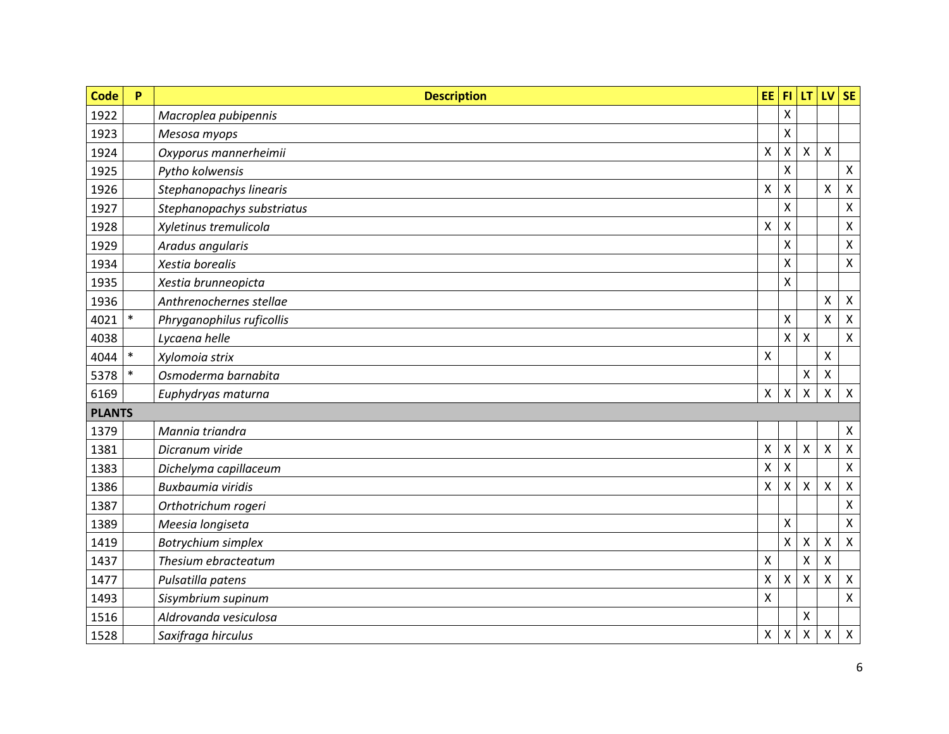| <b>Code</b>   | P      | <b>Description</b>         | EE.                | l FI.        | LT.                | LV                 | SE                        |
|---------------|--------|----------------------------|--------------------|--------------|--------------------|--------------------|---------------------------|
| 1922          |        | Macroplea pubipennis       |                    | X            |                    |                    |                           |
| 1923          |        | Mesosa myops               |                    | X            |                    |                    |                           |
| 1924          |        | Oxyporus mannerheimii      | $\pmb{\mathsf{X}}$ | X            | $\mathsf{x}$       | $\pmb{\mathsf{X}}$ |                           |
| 1925          |        | Pytho kolwensis            |                    | Χ            |                    |                    | X                         |
| 1926          |        | Stephanopachys linearis    | Χ                  | X            |                    | $\pmb{\times}$     | $\boldsymbol{\mathsf{X}}$ |
| 1927          |        | Stephanopachys substriatus |                    | Χ            |                    |                    | Χ                         |
| 1928          |        | Xyletinus tremulicola      | X                  | X            |                    |                    | $\pmb{\mathsf{X}}$        |
| 1929          |        | Aradus angularis           |                    | X            |                    |                    | $\pmb{\mathsf{X}}$        |
| 1934          |        | Xestia borealis            |                    | X            |                    |                    | $\pmb{\times}$            |
| 1935          |        | Xestia brunneopicta        |                    | X            |                    |                    |                           |
| 1936          |        | Anthrenochernes stellae    |                    |              |                    | $\pmb{\mathsf{X}}$ | $\boldsymbol{\mathsf{X}}$ |
| 4021          | $\ast$ | Phryganophilus ruficollis  |                    | Χ            |                    | X                  | X                         |
| 4038          |        | Lycaena helle              |                    | $\mathsf{X}$ | $\mathsf{x}$       |                    | $\boldsymbol{\mathsf{X}}$ |
| 4044          | $\ast$ | Xylomoia strix             | $\pmb{\mathsf{X}}$ |              |                    | X                  |                           |
| 5378          | $\ast$ | Osmoderma barnabita        |                    |              | $\pmb{\mathsf{X}}$ | $\pmb{\mathsf{X}}$ |                           |
| 6169          |        | Euphydryas maturna         | $\pmb{\times}$     | Χ            | X                  | $\pmb{\mathsf{X}}$ | $\boldsymbol{\mathsf{X}}$ |
| <b>PLANTS</b> |        |                            |                    |              |                    |                    |                           |
| 1379          |        | Mannia triandra            |                    |              |                    |                    | $\boldsymbol{\mathsf{X}}$ |
| 1381          |        | Dicranum viride            | Χ                  | Χ            | $\pmb{\mathsf{X}}$ | $\pmb{\mathsf{X}}$ | $\pmb{\times}$            |
| 1383          |        | Dichelyma capillaceum      | Χ                  | X            |                    |                    | X                         |
| 1386          |        | <b>Buxbaumia viridis</b>   | Χ                  | Χ            | X                  | X                  | $\boldsymbol{\mathsf{X}}$ |
| 1387          |        | Orthotrichum rogeri        |                    |              |                    |                    | $\pmb{\mathsf{X}}$        |
| 1389          |        | Meesia longiseta           |                    | Χ            |                    |                    | $\pmb{\mathsf{X}}$        |
| 1419          |        | Botrychium simplex         |                    | X            | Χ                  | X                  | $\boldsymbol{\mathsf{X}}$ |
| 1437          |        | Thesium ebracteatum        | X                  |              | X                  | X                  |                           |
| 1477          |        | Pulsatilla patens          | X                  | Χ            | Χ                  | Χ                  | $\boldsymbol{\mathsf{X}}$ |
| 1493          |        | Sisymbrium supinum         | $\pmb{\mathsf{X}}$ |              |                    |                    | $\boldsymbol{\mathsf{X}}$ |
| 1516          |        | Aldrovanda vesiculosa      |                    |              | X                  |                    |                           |
| 1528          |        | Saxifraga hirculus         | $\pmb{\mathsf{X}}$ | Χ            | Χ                  | $\pmb{\mathsf{X}}$ | $\boldsymbol{\mathsf{X}}$ |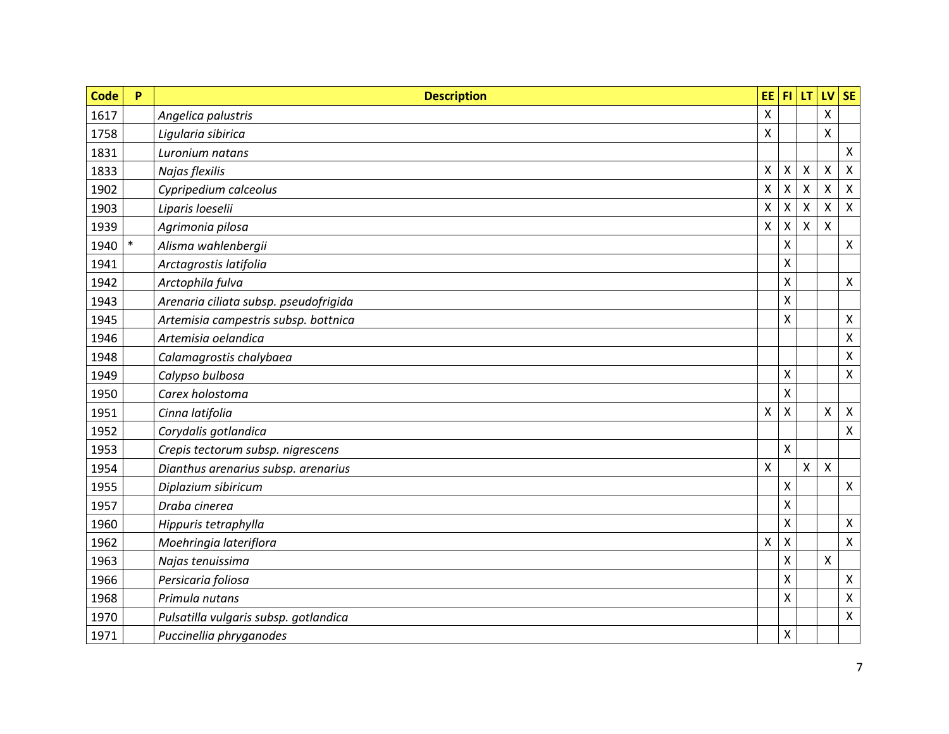| <b>Code</b> | P      | <b>Description</b>                    | EE.                | FL. | LT.          | LV                 | <b>SE</b>                 |
|-------------|--------|---------------------------------------|--------------------|-----|--------------|--------------------|---------------------------|
| 1617        |        | Angelica palustris                    | Χ                  |     |              | X                  |                           |
| 1758        |        | Ligularia sibirica                    | Χ                  |     |              | X                  |                           |
| 1831        |        | Luronium natans                       |                    |     |              |                    | $\boldsymbol{\mathsf{X}}$ |
| 1833        |        | Najas flexilis                        | $\pmb{\mathsf{X}}$ | Χ   | $\mathsf{x}$ | $\pmb{\mathsf{X}}$ | $\boldsymbol{\mathsf{X}}$ |
| 1902        |        | Cypripedium calceolus                 | Χ                  | Χ   | X            | Χ                  | $\boldsymbol{\mathsf{X}}$ |
| 1903        |        | Liparis loeselii                      | $\pmb{\mathsf{X}}$ | Χ   | X            | X                  | $\boldsymbol{\mathsf{X}}$ |
| 1939        |        | Agrimonia pilosa                      | $\pmb{\mathsf{X}}$ | Χ   | $\mathsf{x}$ | $\mathsf{X}$       |                           |
| 1940        | $\ast$ | Alisma wahlenbergii                   |                    | Χ   |              |                    | $\pmb{\mathsf{X}}$        |
| 1941        |        | Arctagrostis latifolia                |                    | X   |              |                    |                           |
| 1942        |        | Arctophila fulva                      |                    | Χ   |              |                    | $\boldsymbol{\mathsf{X}}$ |
| 1943        |        | Arenaria ciliata subsp. pseudofrigida |                    | X   |              |                    |                           |
| 1945        |        | Artemisia campestris subsp. bottnica  |                    | X   |              |                    | X                         |
| 1946        |        | Artemisia oelandica                   |                    |     |              |                    | $\mathsf{X}$              |
| 1948        |        | Calamagrostis chalybaea               |                    |     |              |                    | $\boldsymbol{\mathsf{X}}$ |
| 1949        |        | Calypso bulbosa                       |                    | X   |              |                    | $\mathsf{X}$              |
| 1950        |        | Carex holostoma                       |                    | Χ   |              |                    |                           |
| 1951        |        | Cinna latifolia                       | Χ                  | Χ   |              | X                  | $\pmb{\times}$            |
| 1952        |        | Corydalis gotlandica                  |                    |     |              |                    | $\boldsymbol{\mathsf{X}}$ |
| 1953        |        | Crepis tectorum subsp. nigrescens     |                    | Χ   |              |                    |                           |
| 1954        |        | Dianthus arenarius subsp. arenarius   | X                  |     | $\mathsf{X}$ | $\pmb{\mathsf{X}}$ |                           |
| 1955        |        | Diplazium sibiricum                   |                    | X   |              |                    | $\pmb{\mathsf{X}}$        |
| 1957        |        | Draba cinerea                         |                    | X   |              |                    |                           |
| 1960        |        | Hippuris tetraphylla                  |                    | Χ   |              |                    | $\boldsymbol{\mathsf{X}}$ |
| 1962        |        | Moehringia lateriflora                | $\pmb{\mathsf{X}}$ | Χ   |              |                    | $\boldsymbol{\mathsf{X}}$ |
| 1963        |        | Najas tenuissima                      |                    | X   |              | $\pmb{\times}$     |                           |
| 1966        |        | Persicaria foliosa                    |                    | X   |              |                    | $\boldsymbol{\mathsf{X}}$ |
| 1968        |        | Primula nutans                        |                    | Χ   |              |                    | $\pmb{\mathsf{X}}$        |
| 1970        |        | Pulsatilla vulgaris subsp. gotlandica |                    |     |              |                    | $\boldsymbol{\mathsf{X}}$ |
| 1971        |        | Puccinellia phryganodes               |                    | Χ   |              |                    |                           |